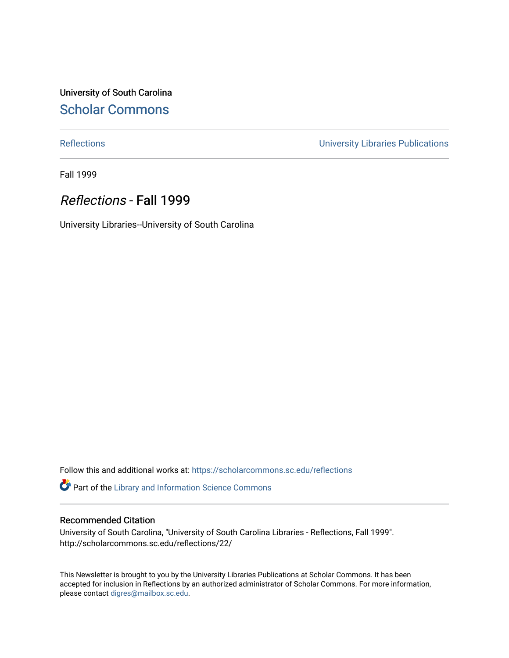University of South Carolina [Scholar Commons](https://scholarcommons.sc.edu/) 

[Reflections](https://scholarcommons.sc.edu/reflections) [University Libraries Publications](https://scholarcommons.sc.edu/lib_pubs) 

Fall 1999

# Reflections - Fall 1999

University Libraries--University of South Carolina

Follow this and additional works at: [https://scholarcommons.sc.edu/reflections](https://scholarcommons.sc.edu/reflections?utm_source=scholarcommons.sc.edu%2Freflections%2F22&utm_medium=PDF&utm_campaign=PDFCoverPages) 

Part of the [Library and Information Science Commons](http://network.bepress.com/hgg/discipline/1018?utm_source=scholarcommons.sc.edu%2Freflections%2F22&utm_medium=PDF&utm_campaign=PDFCoverPages) 

### Recommended Citation

University of South Carolina, "University of South Carolina Libraries - Reflections, Fall 1999". http://scholarcommons.sc.edu/reflections/22/

This Newsletter is brought to you by the University Libraries Publications at Scholar Commons. It has been accepted for inclusion in Reflections by an authorized administrator of Scholar Commons. For more information, please contact [digres@mailbox.sc.edu](mailto:digres@mailbox.sc.edu).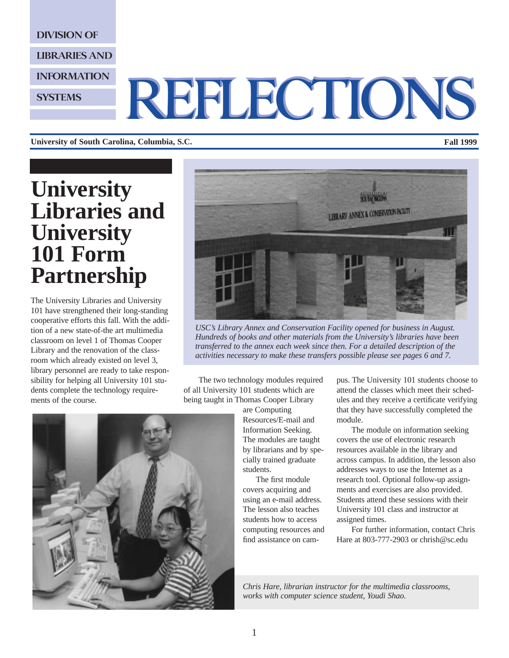DIVISION OF

LIBRARIES AND

INFORMATION

**SYSTEMS** 

# REFLECTIONS REFLECTIONS

**University of South Carolina, Columbia, S.C. Fall 1999**

# **University Libraries and University 101 Form Partnership**

The University Libraries and University 101 have strengthened their long-standing cooperative efforts this fall. With the addition of a new state-of-the art multimedia classroom on level 1 of Thomas Cooper Library and the renovation of the classroom which already existed on level 3, library personnel are ready to take responsibility for helping all University 101 students complete the technology requirements of the course.



*USC's Library Annex and Conservation Facility opened for business in August. Hundreds of books and other materials from the University's libraries have been transferred to the annex each week since then. For a detailed description of the activities necessary to make these transfers possible please see pages 6 and 7.*

The two technology modules required of all University 101 students which are being taught in Thomas Cooper Library

> are Computing Resources/E-mail and Information Seeking. The modules are taught by librarians and by specially trained graduate students.

The first module covers acquiring and using an e-mail address. The lesson also teaches students how to access computing resources and find assistance on campus. The University 101 students choose to attend the classes which meet their schedules and they receive a certificate verifying that they have successfully completed the module.

The module on information seeking covers the use of electronic research resources available in the library and across campus. In addition, the lesson also addresses ways to use the Internet as a research tool. Optional follow-up assignments and exercises are also provided. Students attend these sessions with their University 101 class and instructor at assigned times.

For further information, contact Chris Hare at 803-777-2903 or chrish@sc.edu

*Chris Hare, librarian instructor for the multimedia classrooms, works with computer science student, Youdi Shao.* 



1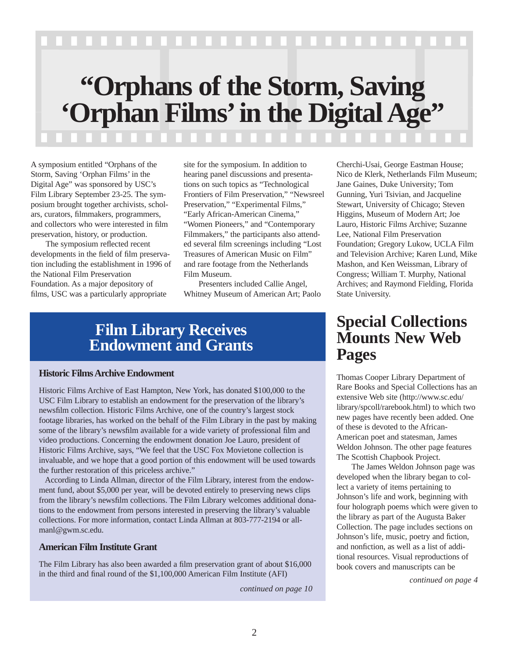# **"Orphans of the Storm, Saving**

# 'Orphan Films' in the Digital Age''

A symposium entitled "Orphans of the Storm, Saving 'Orphan Films' in the Digital Age" was sponsored by USC's Film Library September 23-25. The symposium brought together archivists, scholars, curators, filmmakers, programmers, and collectors who were interested in film preservation, history, or production.

The symposium reflected recent developments in the field of film preservation including the establishment in 1996 of the National Film Preservation Foundation. As a major depository of films, USC was a particularly appropriate

site for the symposium. In addition to hearing panel discussions and presentations on such topics as "Technological Frontiers of Film Preservation," "Newsreel Preservation," "Experimental Films," "Early African-American Cinema," "Women Pioneers," and "Contemporary Filmmakers," the participants also attended several film screenings including "Lost Treasures of American Music on Film" and rare footage from the Netherlands Film Museum.

Presenters included Callie Angel, Whitney Museum of American Art; Paolo

# **Film Library Receives Endowment and Grants**

### **Historic Films Archive Endowment**

Historic Films Archive of East Hampton, New York, has donated \$100,000 to the USC Film Library to establish an endowment for the preservation of the library's newsfilm collection. Historic Films Archive, one of the country's largest stock footage libraries, has worked on the behalf of the Film Library in the past by making some of the library's newsfilm available for a wide variety of professional film and video productions. Concerning the endowment donation Joe Lauro, president of Historic Films Archive, says, "We feel that the USC Fox Movietone collection is invaluable, and we hope that a good portion of this endowment will be used towards the further restoration of this priceless archive."

According to Linda Allman, director of the Film Library, interest from the endowment fund, about \$5,000 per year, will be devoted entirely to preserving news clips from the library's newsfilm collections. The Film Library welcomes additional donations to the endowment from persons interested in preserving the library's valuable collections. For more information, contact Linda Allman at 803-777-2194 or allmanl@gwm.sc.edu.

# **American Film Institute Grant**

The Film Library has also been awarded a film preservation grant of about \$16,000 in the third and final round of the \$1,100,000 American Film Institute (AFI)

*continued on page 10*

Cherchi-Usai, George Eastman House; Nico de Klerk, Netherlands Film Museum; Jane Gaines, Duke University; Tom Gunning, Yuri Tsivian, and Jacqueline Stewart, University of Chicago; Steven Higgins, Museum of Modern Art; Joe Lauro, Historic Films Archive; Suzanne Lee, National Film Preservation Foundation; Gregory Lukow, UCLA Film and Television Archive; Karen Lund, Mike Mashon, and Ken Weissman, Library of Congress; William T. Murphy, National Archives; and Raymond Fielding, Florida State University.

# **Special Collections Mounts New Web Pages**

Thomas Cooper Library Department of Rare Books and Special Collections has an extensive Web site (http://www.sc.edu/ library/spcoll/rarebook.html) to which two new pages have recently been added. One of these is devoted to the African-American poet and statesman, James Weldon Johnson. The other page features The Scottish Chapbook Project.

The James Weldon Johnson page was developed when the library began to collect a variety of items pertaining to Johnson's life and work, beginning with four holograph poems which were given to the library as part of the Augusta Baker Collection. The page includes sections on Johnson's life, music, poetry and fiction, and nonfiction, as well as a list of additional resources. Visual reproductions of book covers and manuscripts can be

*continued on page 4*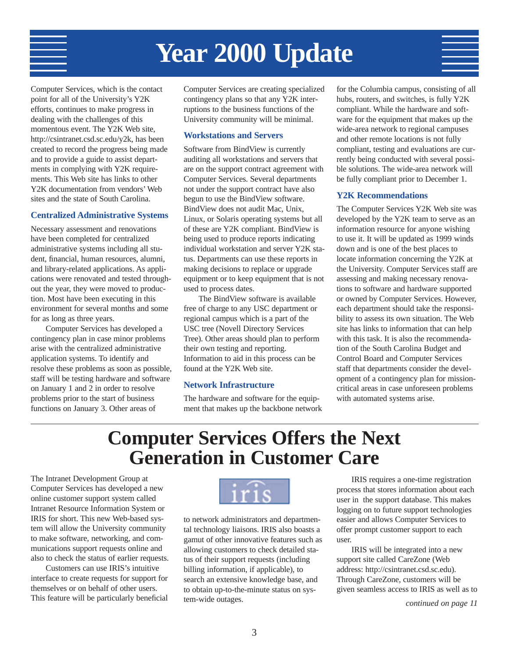# **Year 2000 Update**

Computer Services, which is the contact point for all of the University's Y2K efforts, continues to make progress in dealing with the challenges of this momentous event. The Y2K Web site, http://csintranet.csd.sc.edu/y2k, has been created to record the progress being made and to provide a guide to assist departments in complying with Y2K requirements. This Web site has links to other Y2K documentation from vendors' Web sites and the state of South Carolina.

### **Centralized Administrative Systems**

Necessary assessment and renovations have been completed for centralized administrative systems including all student, financial, human resources, alumni, and library-related applications. As applications were renovated and tested throughout the year, they were moved to production. Most have been executing in this environment for several months and some for as long as three years.

Computer Services has developed a contingency plan in case minor problems arise with the centralized administrative application systems. To identify and resolve these problems as soon as possible, staff will be testing hardware and software on January 1 and 2 in order to resolve problems prior to the start of business functions on January 3. Other areas of

Computer Services are creating specialized contingency plans so that any Y2K interruptions to the business functions of the University community will be minimal.

# **Workstations and Servers**

Software from BindView is currently auditing all workstations and servers that are on the support contract agreement with Computer Services. Several departments not under the support contract have also begun to use the BindView software. BindView does not audit Mac, Unix, Linux, or Solaris operating systems but all of these are Y2K compliant. BindView is being used to produce reports indicating individual workstation and server Y2K status. Departments can use these reports in making decisions to replace or upgrade equipment or to keep equipment that is not used to process dates.

The BindView software is available free of charge to any USC department or regional campus which is a part of the USC tree (Novell Directory Services Tree). Other areas should plan to perform their own testing and reporting. Information to aid in this process can be found at the Y2K Web site.

### **Network Infrastructure**

The hardware and software for the equipment that makes up the backbone network

for the Columbia campus, consisting of all hubs, routers, and switches, is fully Y2K compliant. While the hardware and software for the equipment that makes up the wide-area network to regional campuses and other remote locations is not fully compliant, testing and evaluations are currently being conducted with several possible solutions. The wide-area network will be fully compliant prior to December 1.

### **Y2K Recommendations**

The Computer Services Y2K Web site was developed by the Y2K team to serve as an information resource for anyone wishing to use it. It will be updated as 1999 winds down and is one of the best places to locate information concerning the Y2K at the University. Computer Services staff are assessing and making necessary renovations to software and hardware supported or owned by Computer Services. However, each department should take the responsibility to assess its own situation. The Web site has links to information that can help with this task. It is also the recommendation of the South Carolina Budget and Control Board and Computer Services staff that departments consider the development of a contingency plan for missioncritical areas in case unforeseen problems with automated systems arise.

# **Computer Services Offers the Next Generation in Customer Care**

The Intranet Development Group at Computer Services has developed a new online customer support system called Intranet Resource Information System or IRIS for short. This new Web-based system will allow the University community to make software, networking, and communications support requests online and also to check the status of earlier requests.

Customers can use IRIS's intuitive interface to create requests for support for themselves or on behalf of other users. This feature will be particularly beneficial



to network administrators and departmental technology liaisons. IRIS also boasts a gamut of other innovative features such as allowing customers to check detailed status of their support requests (including billing information, if applicable), to search an extensive knowledge base, and to obtain up-to-the-minute status on system-wide outages.

IRIS requires a one-time registration process that stores information about each user in the support database. This makes logging on to future support technologies easier and allows Computer Services to offer prompt customer support to each user.

IRIS will be integrated into a new support site called CareZone (Web address: http://csintranet.csd.sc.edu). Through CareZone, customers will be given seamless access to IRIS as well as to

*continued on page 11*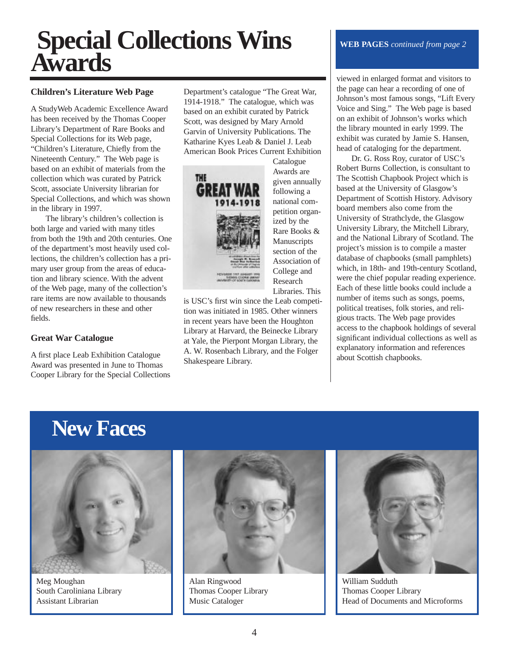# **Special Collections Wins Awards**

### **Children's Literature Web Page**

A StudyWeb Academic Excellence Award has been received by the Thomas Cooper Library's Department of Rare Books and Special Collections for its Web page, "Children's Literature, Chiefly from the Nineteenth Century." The Web page is based on an exhibit of materials from the collection which was curated by Patrick Scott, associate University librarian for Special Collections, and which was shown in the library in 1997.

The library's children's collection is both large and varied with many titles from both the 19th and 20th centuries. One of the department's most heavily used collections, the children's collection has a primary user group from the areas of education and library science. With the advent of the Web page, many of the collection's rare items are now available to thousands of new researchers in these and other fields.

# **Great War Catalogue**

A first place Leab Exhibition Catalogue Award was presented in June to Thomas Cooper Library for the Special Collections Department's catalogue "The Great War, 1914-1918." The catalogue, which was based on an exhibit curated by Patrick Scott, was designed by Mary Arnold Garvin of University Publications. The Katharine Kyes Leab & Daniel J. Leab American Book Prices Current Exhibition



**Catalogue** Awards are given annually following a national competition organized by the Rare Books & **Manuscripts** section of the Association of College and Research Libraries. This

is USC's first win since the Leab competition was initiated in 1985. Other winners in recent years have been the Houghton Library at Harvard, the Beinecke Library at Yale, the Pierpont Morgan Library, the A. W. Rosenbach Library, and the Folger Shakespeare Library.

### **WEB PAGES** *continued from page 2*

viewed in enlarged format and visitors to the page can hear a recording of one of Johnson's most famous songs, "Lift Every Voice and Sing." The Web page is based on an exhibit of Johnson's works which the library mounted in early 1999. The exhibit was curated by Jamie S. Hansen, head of cataloging for the department.

Dr. G. Ross Roy, curator of USC's Robert Burns Collection, is consultant to The Scottish Chapbook Project which is based at the University of Glasgow's Department of Scottish History. Advisory board members also come from the University of Strathclyde, the Glasgow University Library, the Mitchell Library, and the National Library of Scotland. The project's mission is to compile a master database of chapbooks (small pamphlets) which, in 18th- and 19th-century Scotland, were the chief popular reading experience. Each of these little books could include a number of items such as songs, poems, political treatises, folk stories, and religious tracts. The Web page provides access to the chapbook holdings of several significant individual collections as well as explanatory information and references about Scottish chapbooks.

# **New Faces**



Meg Moughan South Caroliniana Library Assistant Librarian



Alan Ringwood Thomas Cooper Library Music Cataloger



William Sudduth Thomas Cooper Library Head of Documents and Microforms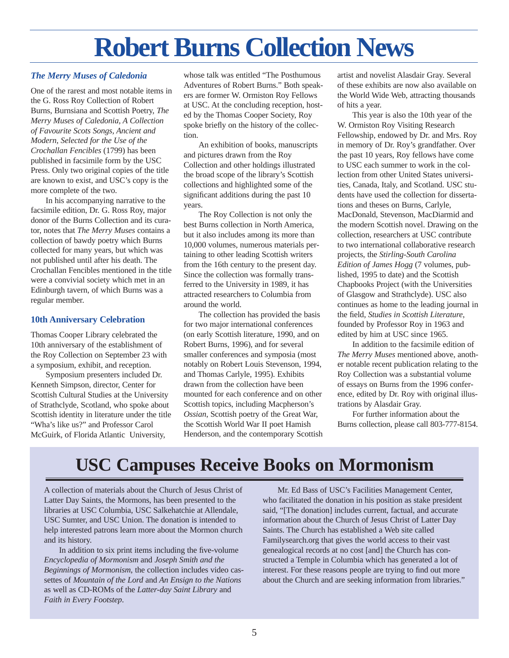# **Robert Burns Collection News**

## *The Merry Muses of Caledonia*

One of the rarest and most notable items in the G. Ross Roy Collection of Robert Burns, Burnsiana and Scottish Poetry, *The Merry Muses of Caledonia, A Collection of Favourite Scots Songs, Ancient and Modern, Selected for the Use of the Crochallan Fencibles* (1799) has been published in facsimile form by the USC Press. Only two original copies of the title are known to exist, and USC's copy is the more complete of the two.

In his accompanying narrative to the facsimile edition, Dr. G. Ross Roy, major donor of the Burns Collection and its curator, notes that *The Merry Muses* contains a collection of bawdy poetry which Burns collected for many years, but which was not published until after his death. The Crochallan Fencibles mentioned in the title were a convivial society which met in an Edinburgh tavern, of which Burns was a regular member.

### **10th Anniversary Celebration**

Thomas Cooper Library celebrated the 10th anniversary of the establishment of the Roy Collection on September 23 with a symposium, exhibit, and reception.

Symposium presenters included Dr. Kenneth Simpson, director, Center for Scottish Cultural Studies at the University of Strathclyde, Scotland, who spoke about Scottish identity in literature under the title "Wha's like us?" and Professor Carol McGuirk, of Florida Atlantic University,

whose talk was entitled "The Posthumous Adventures of Robert Burns." Both speakers are former W. Ormiston Roy Fellows at USC. At the concluding reception, hosted by the Thomas Cooper Society, Roy spoke briefly on the history of the collection.

An exhibition of books, manuscripts and pictures drawn from the Roy Collection and other holdings illustrated the broad scope of the library's Scottish collections and highlighted some of the significant additions during the past 10 years.

The Roy Collection is not only the best Burns collection in North America, but it also includes among its more than 10,000 volumes, numerous materials pertaining to other leading Scottish writers from the 16th century to the present day. Since the collection was formally transferred to the University in 1989, it has attracted researchers to Columbia from around the world.

The collection has provided the basis for two major international conferences (on early Scottish literature, 1990, and on Robert Burns, 1996), and for several smaller conferences and symposia (most notably on Robert Louis Stevenson, 1994, and Thomas Carlyle, 1995). Exhibits drawn from the collection have been mounted for each conference and on other Scottish topics, including Macpherson's *Ossian*, Scottish poetry of the Great War, the Scottish World War II poet Hamish Henderson, and the contemporary Scottish artist and novelist Alasdair Gray. Several of these exhibits are now also available on the World Wide Web, attracting thousands of hits a year.

This year is also the 10th year of the W. Ormiston Roy Visiting Research Fellowship, endowed by Dr. and Mrs. Roy in memory of Dr. Roy's grandfather. Over the past 10 years, Roy fellows have come to USC each summer to work in the collection from other United States universities, Canada, Italy, and Scotland. USC students have used the collection for dissertations and theses on Burns, Carlyle, MacDonald, Stevenson, MacDiarmid and the modern Scottish novel. Drawing on the collection, researchers at USC contribute to two international collaborative research projects, the *Stirling-South Carolina Edition of James Hogg* (7 volumes, published, 1995 to date) and the Scottish Chapbooks Project (with the Universities of Glasgow and Strathclyde). USC also continues as home to the leading journal in the field, *Studies in Scottish Literature*, founded by Professor Roy in 1963 and edited by him at USC since 1965.

In addition to the facsimile edition of *The Merry Muses* mentioned above, another notable recent publication relating to the Roy Collection was a substantial volume of essays on Burns from the 1996 conference, edited by Dr. Roy with original illustrations by Alasdair Gray.

For further information about the Burns collection, please call 803-777-8154.

# **USC Campuses Receive Books on Mormonism**

A collection of materials about the Church of Jesus Christ of Latter Day Saints, the Mormons, has been presented to the libraries at USC Columbia, USC Salkehatchie at Allendale, USC Sumter, and USC Union. The donation is intended to help interested patrons learn more about the Mormon church and its history.

In addition to six print items including the five-volume *Encyclopedia of Mormonism* and *Joseph Smith and the Beginnings of Mormonism*, the collection includes video cassettes of *Mountain of the Lord* and *An Ensign to the Nations* as well as CD-ROMs of the *Latter-day Saint Library* and *Faith in Every Footstep*.

Mr. Ed Bass of USC's Facilities Management Center, who facilitated the donation in his position as stake president said, "[The donation] includes current, factual, and accurate information about the Church of Jesus Christ of Latter Day Saints. The Church has established a Web site called Familysearch.org that gives the world access to their vast genealogical records at no cost [and] the Church has constructed a Temple in Columbia which has generated a lot of interest. For these reasons people are trying to find out more about the Church and are seeking information from libraries."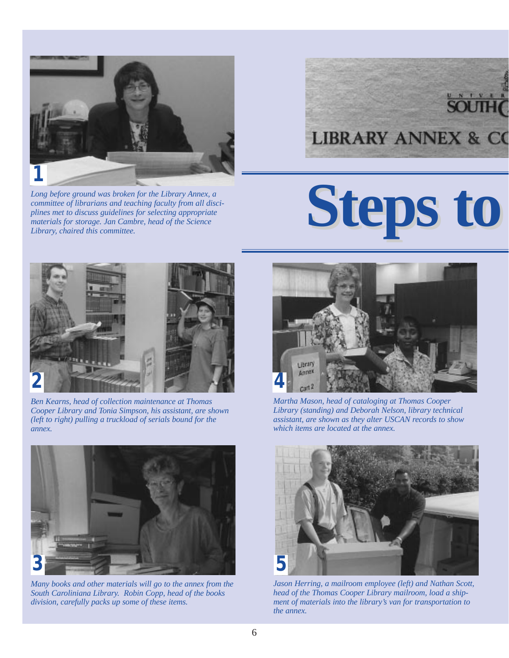

*Long before ground was broken for the Library Annex, a committee of librarians and teaching faculty from all disciplines met to discuss guidelines for selecting appropriate materials for storage. Jan Cambre, head of the Science Library, chaired this committee.* 

# **LIBRARY ANNEX & CO**

# **Steps to**



*Ben Kearns, head of collection maintenance at Thomas Cooper Library and Tonia Simpson, his assistant, are shown (left to right) pulling a truckload of serials bound for the annex.* 



*Many books and other materials will go to the annex from the South Caroliniana Library. Robin Copp, head of the books division, carefully packs up some of these items.*



*Martha Mason, head of cataloging at Thomas Cooper Library (standing) and Deborah Nelson, library technical assistant, are shown as they alter USCAN records to show which items are located at the annex.*



*Jason Herring, a mailroom employee (left) and Nathan Scott, head of the Thomas Cooper Library mailroom, load a shipment of materials into the library's van for transportation to the annex.*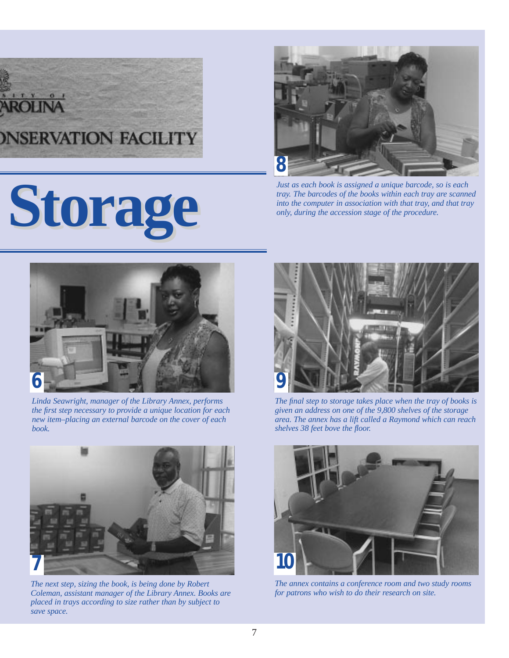# *ONSERVATION FACILITY*

# **Storage Storage**



*Just as each book is assigned a unique barcode, so is each tray. The barcodes of the books within each tray are scanned into the computer in association with that tray, and that tray only, during the accession stage of the procedure.* 



*Linda Seawright, manager of the Library Annex, performs the first step necessary to provide a unique location for each new item–placing an external barcode on the cover of each book.* 



*The next step, sizing the book, is being done by Robert Coleman, assistant manager of the Library Annex. Books are placed in trays according to size rather than by subject to save space.* 



*The final step to storage takes place when the tray of books is given an address on one of the 9,800 shelves of the storage area. The annex has a lift called a Raymond which can reach shelves 38 feet bove the floor.*



*The annex contains a conference room and two study rooms for patrons who wish to do their research on site.*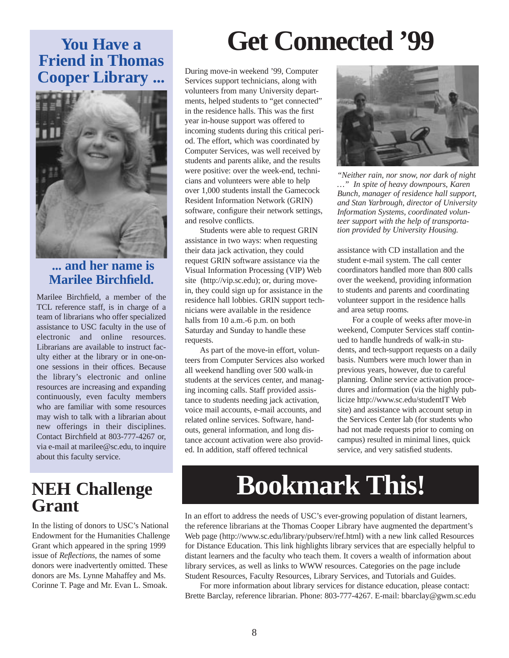# **You Have a Friend in Thomas Cooper Library ...**



# **... and her name is Marilee Birchfield.**

Marilee Birchfield, a member of the TCL reference staff, is in charge of a team of librarians who offer specialized assistance to USC faculty in the use of electronic and online resources. Librarians are available to instruct faculty either at the library or in one-onone sessions in their offices. Because the library's electronic and online resources are increasing and expanding continuously, even faculty members who are familiar with some resources may wish to talk with a librarian about new offerings in their disciplines. Contact Birchfield at 803-777-4267 or, via e-mail at marilee@sc.edu, to inquire about this faculty service.

# **NEH Challenge Grant**

In the listing of donors to USC's National Endowment for the Humanities Challenge Grant which appeared in the spring 1999 issue of *Reflections*, the names of some donors were inadvertently omitted. These donors are Ms. Lynne Mahaffey and Ms. Corinne T. Page and Mr. Evan L. Smoak.

# **Get Connected '99**

During move-in weekend '99, Computer Services support technicians, along with volunteers from many University departments, helped students to "get connected" in the residence halls. This was the first year in-house support was offered to incoming students during this critical period. The effort, which was coordinated by Computer Services, was well received by students and parents alike, and the results were positive: over the week-end, technicians and volunteers were able to help over 1,000 students install the Gamecock Resident Information Network (GRIN) software, configure their network settings, and resolve conflicts.

Students were able to request GRIN assistance in two ways: when requesting their data jack activation, they could request GRIN software assistance via the Visual Information Processing (VIP) Web site (http://vip.sc.edu); or, during movein, they could sign up for assistance in the residence hall lobbies. GRIN support technicians were available in the residence halls from 10 a.m.-6 p.m. on both Saturday and Sunday to handle these requests.

As part of the move-in effort, volunteers from Computer Services also worked all weekend handling over 500 walk-in students at the services center, and managing incoming calls. Staff provided assistance to students needing jack activation, voice mail accounts, e-mail accounts, and related online services. Software, handouts, general information, and long distance account activation were also provided. In addition, staff offered technical



*"Neither rain, nor snow, nor dark of night …" In spite of heavy downpours, Karen Bunch, manager of residence hall support, and Stan Yarbrough, director of University Information Systems, coordinated volunteer support with the help of transportation provided by University Housing.*

assistance with CD installation and the student e-mail system. The call center coordinators handled more than 800 calls over the weekend, providing information to students and parents and coordinating volunteer support in the residence halls and area setup rooms.

For a couple of weeks after move-in weekend, Computer Services staff continued to handle hundreds of walk-in students, and tech-support requests on a daily basis. Numbers were much lower than in previous years, however, due to careful planning. Online service activation procedures and information (via the highly publicize http://www.sc.edu/studentIT Web site) and assistance with account setup in the Services Center lab (for students who had not made requests prior to coming on campus) resulted in minimal lines, quick service, and very satisfied students.

# **Bookmark This!**

In an effort to address the needs of USC's ever-growing population of distant learners, the reference librarians at the Thomas Cooper Library have augmented the department's Web page (http://www.sc.edu/library/pubserv/ref.html) with a new link called Resources for Distance Education. This link highlights library services that are especially helpful to distant learners and the faculty who teach them. It covers a wealth of information about library services, as well as links to WWW resources. Categories on the page include Student Resources, Faculty Resources, Library Services, and Tutorials and Guides.

For more information about library services for distance education, please contact: Brette Barclay, reference librarian. Phone: 803-777-4267. E-mail: bbarclay@gwm.sc.edu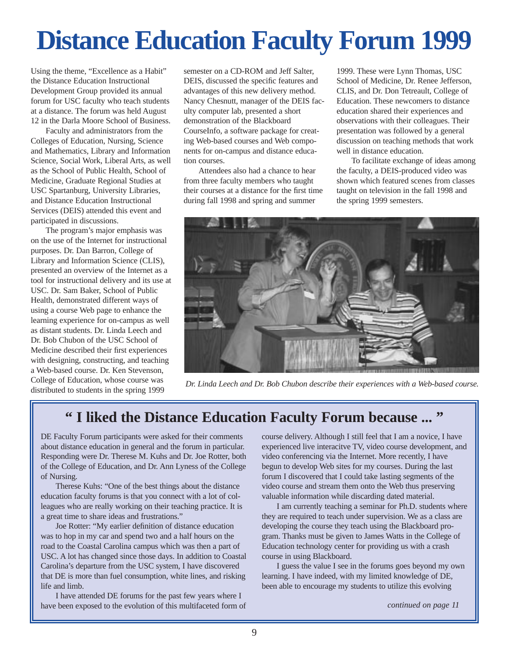# **Distance Education Faculty Forum 1999**

Using the theme, "Excellence as a Habit" the Distance Education Instructional Development Group provided its annual forum for USC faculty who teach students at a distance. The forum was held August 12 in the Darla Moore School of Business.

Faculty and administrators from the Colleges of Education, Nursing, Science and Mathematics, Library and Information Science, Social Work, Liberal Arts, as well as the School of Public Health, School of Medicine, Graduate Regional Studies at USC Spartanburg, University Libraries, and Distance Education Instructional Services (DEIS) attended this event and participated in discussions.

The program's major emphasis was on the use of the Internet for instructional purposes. Dr. Dan Barron, College of Library and Information Science (CLIS), presented an overview of the Internet as a tool for instructional delivery and its use at USC. Dr. Sam Baker, School of Public Health, demonstrated different ways of using a course Web page to enhance the learning experience for on-campus as well as distant students. Dr. Linda Leech and Dr. Bob Chubon of the USC School of Medicine described their first experiences with designing, constructing, and teaching a Web-based course. Dr. Ken Stevenson, College of Education, whose course was distributed to students in the spring 1999

semester on a CD-ROM and Jeff Salter, DEIS, discussed the specific features and advantages of this new delivery method. Nancy Chesnutt, manager of the DEIS faculty computer lab, presented a short demonstration of the Blackboard CourseInfo, a software package for creating Web-based courses and Web components for on-campus and distance education courses.

Attendees also had a chance to hear from three faculty members who taught their courses at a distance for the first time during fall 1998 and spring and summer

1999. These were Lynn Thomas, USC School of Medicine, Dr. Renee Jefferson, CLIS, and Dr. Don Tetreault, College of Education. These newcomers to distance education shared their experiences and observations with their colleagues. Their presentation was followed by a general discussion on teaching methods that work well in distance education.

To facilitate exchange of ideas among the faculty, a DEIS-produced video was shown which featured scenes from classes taught on television in the fall 1998 and the spring 1999 semesters.



*Dr. Linda Leech and Dr. Bob Chubon describe their experiences with a Web-based course.*

# **" I liked the Distance Education Faculty Forum because ... "**

DE Faculty Forum participants were asked for their comments about distance education in general and the forum in particular. Responding were Dr. Therese M. Kuhs and Dr. Joe Rotter, both of the College of Education, and Dr. Ann Lyness of the College of Nursing.

Therese Kuhs: "One of the best things about the distance education faculty forums is that you connect with a lot of colleagues who are really working on their teaching practice. It is a great time to share ideas and frustrations."

Joe Rotter: "My earlier definition of distance education was to hop in my car and spend two and a half hours on the road to the Coastal Carolina campus which was then a part of USC. A lot has changed since those days. In addition to Coastal Carolina's departure from the USC system, I have discovered that DE is more than fuel consumption, white lines, and risking life and limb.

I have attended DE forums for the past few years where I have been exposed to the evolution of this multifaceted form of course delivery. Although I still feel that I am a novice, I have experienced live interacitve TV, video course development, and video conferencing via the Internet. More recently, I have begun to develop Web sites for my courses. During the last forum I discovered that I could take lasting segments of the video course and stream them onto the Web thus preserving valuable information while discarding dated material.

I am currently teaching a seminar for Ph.D. students where they are required to teach under supervision. We as a class are developing the course they teach using the Blackboard program. Thanks must be given to James Watts in the College of Education technology center for providing us with a crash course in using Blackboard.

I guess the value I see in the forums goes beyond my own learning. I have indeed, with my limited knowledge of DE, been able to encourage my students to utilize this evolving

*continued on page 11*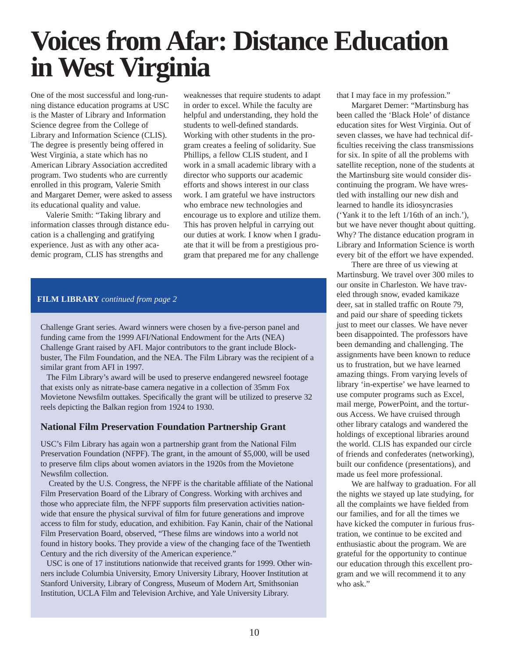# **Voices from Afar: Distance Education in West Virginia**

One of the most successful and long-running distance education programs at USC is the Master of Library and Information Science degree from the College of Library and Information Science (CLIS). The degree is presently being offered in West Virginia, a state which has no American Library Association accredited program. Two students who are currently enrolled in this program, Valerie Smith and Margaret Demer, were asked to assess its educational quality and value.

Valerie Smith: "Taking library and information classes through distance education is a challenging and gratifying experience. Just as with any other academic program, CLIS has strengths and

weaknesses that require students to adapt in order to excel. While the faculty are helpful and understanding, they hold the students to well-defined standards. Working with other students in the program creates a feeling of solidarity. Sue Phillips, a fellow CLIS student, and I work in a small academic library with a director who supports our academic efforts and shows interest in our class work. I am grateful we have instructors who embrace new technologies and encourage us to explore and utilize them. This has proven helpful in carrying out our duties at work. I know when I graduate that it will be from a prestigious program that prepared me for any challenge

### **FILM LIBRARY** *continued from page 2*

Challenge Grant series. Award winners were chosen by a five-person panel and funding came from the 1999 AFI/National Endowment for the Arts (NEA) Challenge Grant raised by AFI. Major contributors to the grant include Blockbuster, The Film Foundation, and the NEA. The Film Library was the recipient of a similar grant from AFI in 1997.

The Film Library's award will be used to preserve endangered newsreel footage that exists only as nitrate-base camera negative in a collection of 35mm Fox Movietone Newsfilm outtakes. Specifically the grant will be utilized to preserve 32 reels depicting the Balkan region from 1924 to 1930.

### **National Film Preservation Foundation Partnership Grant**

USC's Film Library has again won a partnership grant from the National Film Preservation Foundation (NFPF). The grant, in the amount of \$5,000, will be used to preserve film clips about women aviators in the 1920s from the Movietone Newsfilm collection.

Created by the U.S. Congress, the NFPF is the charitable affiliate of the National Film Preservation Board of the Library of Congress. Working with archives and those who appreciate film, the NFPF supports film preservation activities nationwide that ensure the physical survival of film for future generations and improve access to film for study, education, and exhibition. Fay Kanin, chair of the National Film Preservation Board, observed, "These films are windows into a world not found in history books. They provide a view of the changing face of the Twentieth Century and the rich diversity of the American experience."

USC is one of 17 institutions nationwide that received grants for 1999. Other winners include Columbia University, Emory University Library, Hoover Institution at Stanford University, Library of Congress, Museum of Modern Art, Smithsonian Institution, UCLA Film and Television Archive, and Yale University Library.

that I may face in my profession."

Margaret Demer: "Martinsburg has been called the 'Black Hole' of distance education sites for West Virginia. Out of seven classes, we have had technical difficulties receiving the class transmissions for six. In spite of all the problems with satellite reception, none of the students at the Martinsburg site would consider discontinuing the program. We have wrestled with installing our new dish and learned to handle its idiosyncrasies ('Yank it to the left 1/16th of an inch.'), but we have never thought about quitting. Why? The distance education program in Library and Information Science is worth every bit of the effort we have expended.

There are three of us viewing at Martinsburg. We travel over 300 miles to our onsite in Charleston. We have traveled through snow, evaded kamikaze deer, sat in stalled traffic on Route 79, and paid our share of speeding tickets just to meet our classes. We have never been disappointed. The professors have been demanding and challenging. The assignments have been known to reduce us to frustration, but we have learned amazing things. From varying levels of library 'in-expertise' we have learned to use computer programs such as Excel, mail merge, PowerPoint, and the torturous Access. We have cruised through other library catalogs and wandered the holdings of exceptional libraries around the world. CLIS has expanded our circle of friends and confederates (networking), built our confidence (presentations), and made us feel more professional.

We are halfway to graduation. For all the nights we stayed up late studying, for all the complaints we have fielded from our families, and for all the times we have kicked the computer in furious frustration, we continue to be excited and enthusiastic about the program. We are grateful for the opportunity to continue our education through this excellent program and we will recommend it to any who ask."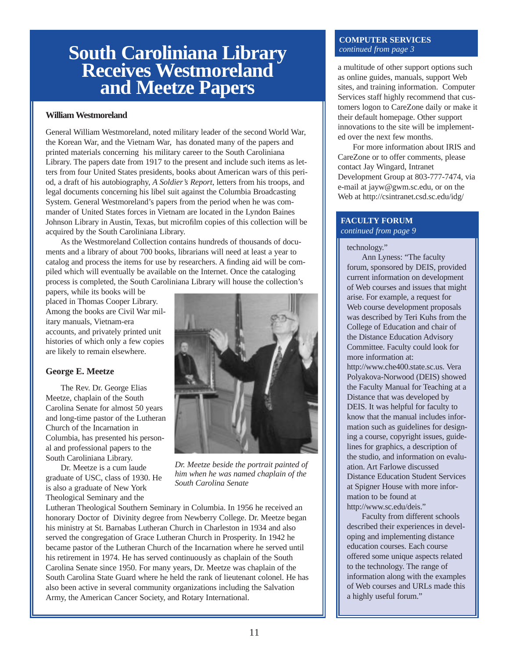# **South Caroliniana Library Receives Westmoreland and Meetze Papers**

#### **William Westmoreland**

General William Westmoreland, noted military leader of the second World War, the Korean War, and the Vietnam War, has donated many of the papers and printed materials concerning his military career to the South Caroliniana Library. The papers date from 1917 to the present and include such items as letters from four United States presidents, books about American wars of this period, a draft of his autobiography, *A Soldier's Report*, letters from his troops, and legal documents concerning his libel suit against the Columbia Broadcasting System. General Westmoreland's papers from the period when he was commander of United States forces in Vietnam are located in the Lyndon Baines Johnson Library in Austin, Texas, but microfilm copies of this collection will be acquired by the South Caroliniana Library.

As the Westmoreland Collection contains hundreds of thousands of documents and a library of about 700 books, librarians will need at least a year to catalog and process the items for use by researchers. A finding aid will be compiled which will eventually be available on the Internet. Once the cataloging process is completed, the South Caroliniana Library will house the collection's

papers, while its books will be placed in Thomas Cooper Library. Among the books are Civil War military manuals, Vietnam-era accounts, and privately printed unit histories of which only a few copies are likely to remain elsewhere.

### **George E. Meetze**

The Rev. Dr. George Elias Meetze, chaplain of the South Carolina Senate for almost 50 years and long-time pastor of the Lutheran Church of the Incarnation in Columbia, has presented his personal and professional papers to the South Caroliniana Library.

Dr. Meetze is a cum laude graduate of USC, class of 1930. He is also a graduate of New York Theological Seminary and the



*Dr. Meetze beside the portrait painted of him when he was named chaplain of the South Carolina Senate*

Lutheran Theological Southern Seminary in Columbia. In 1956 he received an honorary Doctor of Divinity degree from Newberry College. Dr. Meetze began his ministry at St. Barnabas Lutheran Church in Charleston in 1934 and also served the congregation of Grace Lutheran Church in Prosperity. In 1942 he became pastor of the Lutheran Church of the Incarnation where he served until his retirement in 1974. He has served continuously as chaplain of the South Carolina Senate since 1950. For many years, Dr. Meetze was chaplain of the South Carolina State Guard where he held the rank of lieutenant colonel. He has also been active in several community organizations including the Salvation Army, the American Cancer Society, and Rotary International.

### **COMPUTER SERVICES**  *continued from page 3*

a multitude of other support options such as online guides, manuals, support Web sites, and training information. Computer Services staff highly recommend that customers logon to CareZone daily or make it their default homepage. Other support innovations to the site will be implemented over the next few months.

For more information about IRIS and CareZone or to offer comments, please contact Jay Wingard, Intranet Development Group at 803-777-7474, via e-mail at jayw@gwm.sc.edu, or on the Web at http://csintranet.csd.sc.edu/idg/

#### **FACULTY FORUM**  *continued from page 9*

technology."

Ann Lyness: "The faculty forum, sponsored by DEIS, provided current information on development of Web courses and issues that might arise. For example, a request for Web course development proposals was described by Teri Kuhs from the College of Education and chair of the Distance Education Advisory Committee. Faculty could look for more information at:

http://www.che400.state.sc.us. Vera Polyakova-Norwood (DEIS) showed the Faculty Manual for Teaching at a Distance that was developed by DEIS. It was helpful for faculty to know that the manual includes information such as guidelines for designing a course, copyright issues, guidelines for graphics, a description of the studio, and information on evaluation. Art Farlowe discussed Distance Education Student Services at Spigner House with more information to be found at http://www.sc.edu/deis."

Faculty from different schools described their experiences in developing and implementing distance education courses. Each course offered some unique aspects related to the technology. The range of information along with the examples of Web courses and URLs made this a highly useful forum."